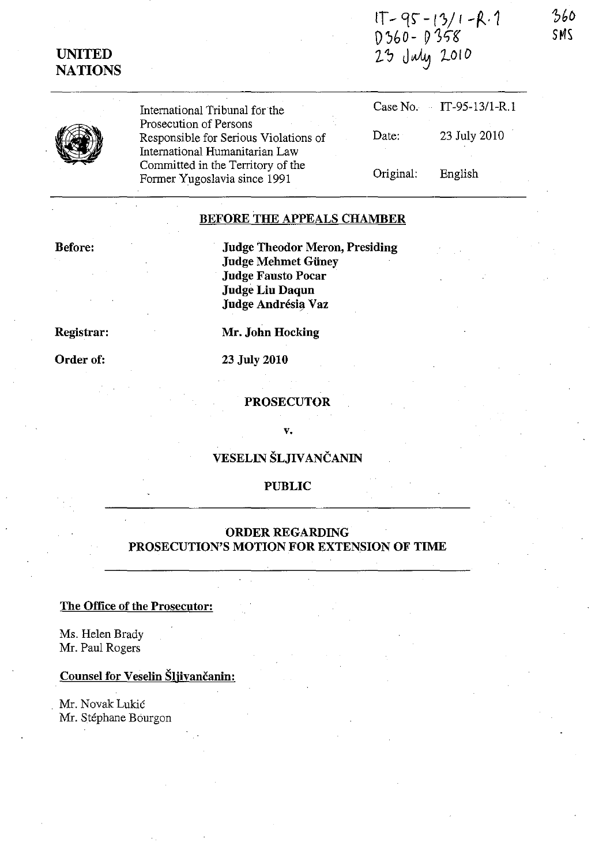IT - 95 - 13/1 - R. 1<br>D360 - D358<br>23 July 2010

360 SMS

|  | Internation |  |
|--|-------------|--|
|  | Prosecutic  |  |
|  | Responsib   |  |
|  | Internation |  |
|  | Committe    |  |
|  |             |  |

nal Tribunal for the on of Persons ble for Serious Violation nal Humanitarian Law d in the Territory of the Former Yugoslavia since 1991

|       |           | Case No. $IT-95-13/1-R.1$ |
|-------|-----------|---------------------------|
| ns of | Date:     | 23 July 2010              |
|       | Original: | English                   |

### **BEFORE THE APPEALS CHAMBER**

### **Before:**

**UNITED NATIONS** 

Registrar:

# Order of:

**Judge Theodor Meron, Presiding Judge Mehmet Güney Judge Fausto Pocar Judge Liu Daqun** Judge Andrésia Vaz

Mr. John Hocking

### 23 July 2010

### **PROSECUTOR**

#### v.

# VESELIN ŠLJIVANČANIN

# **PUBLIC**

### **ORDER REGARDING** PROSECUTION'S MOTION FOR EXTENSION OF TIME

# The Office of the Prosecutor:

Ms. Helen Brady Mr. Paul Rogers

# Counsel for Veselin Šljivančanin:

Mr. Novak Lukić Mr. Stéphane Bourgon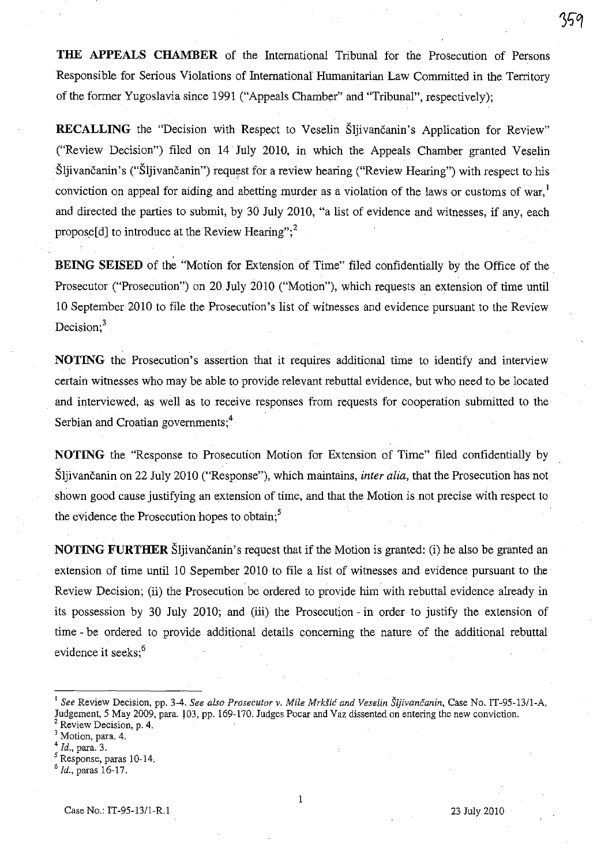**THE APPEALS CHAMBER** of the International Tribunal for the Prosecution of Persons Responsible for Serious Violations of International Humanitarian Law Committed in the Territory of the former Yugoslavia since 1991 ("Appeals Chamber" and "Tribunal", respectively);

**RECALLING** the "Decision with Respect to Veselin Sliivancanin's Application for Review" ("Review Decision") filed on 14 July 2010, in which the Appeals Chamber granted Veselin Sliivančanin's ("Sliivančanin") request for a review hearing ("Review Hearing") with respect to his conviction on appeal for aiding and abetting murder as a violation of the laws or customs of war,<sup>1</sup> and directed the parties to submit, by 30 July 2010, "a list of evidence and witnesses, if any, each propose[d] to introduce at the Review Hearing"; $^{2}$ 

**BEING SEISED** of the "Motion for Extension of Time" filed confidentially by the Office of the. Prosecutor ("Prosecution") on 20 July 2010 ("Motion"), which requests an extension of time until 10 September 2010 to file the Prosecution's list of witnesses and evidence pursuant to the Review Decision; $3$ 

**NOTING** the Prosecution's assertion that it requires additional time to identify and interview certain witnesses who may be able to provide relevant rebuttal evidence, but who need to be located and interviewed, as well as to receive responses from requests for cooperation submitted to the Serbian and Croatian governments;<sup>4</sup>

**NOTING** the "Response to Prosecution Motion for Extension of Time" filed confidentially by Sljivancanin on 22 July 2010 ("Response"), which maintains, *inter alia,* that the Prosecution has not shown good cause justifying an extension of time, and that the Motion is not precise with respect to the evidence the Prosecution hopes to obtain;<sup>5</sup>

**NOTING FURTHER** Šljivančanin's request that if the Motion is granted: (i) he also be granted an extension of time until 10 Sepember 2010 to file a list of witnesses and evidence pursuant to the Review Decision; (ii) the Prosecution be ordered to provide him with rebuttal evidence already in its possession by 30 July 2010; and (iii) the Prosecution - in order to justify the extension of time - be ordered to provide additional details concerning the nature of the additional rebuttal evidence it seeks;<sup>6</sup>

1

<sup>1</sup>*See* Review Decision, pp. 3-4. *See also Prosecutor v. Mile MrkSic and Veselin Sljivancanin,* Case No. IT-95-13/1-A, Judgement, 5 May 2009, para. 103, pp. 169-170. Judges Pocar and Vaz dissented on entering the new conviction. <sup>1</sup> See Review Decision, pp. 3-4. See also Prosecutor v. Mile Mrkšić and Ves<br>Judgement, 5 May 2009, para. 103, pp. 169-170. Judges Pocar and Vaz disser<br><sup>2</sup> Motion, para. 4.<br><sup>3</sup> Motion, para. 4.

Motion, para. 4.

<sup>4</sup>*Id.,* para. 3.

<sup>5</sup> Response, paras 10-14.

*<sup>6</sup> Id.,* paras 16-17.